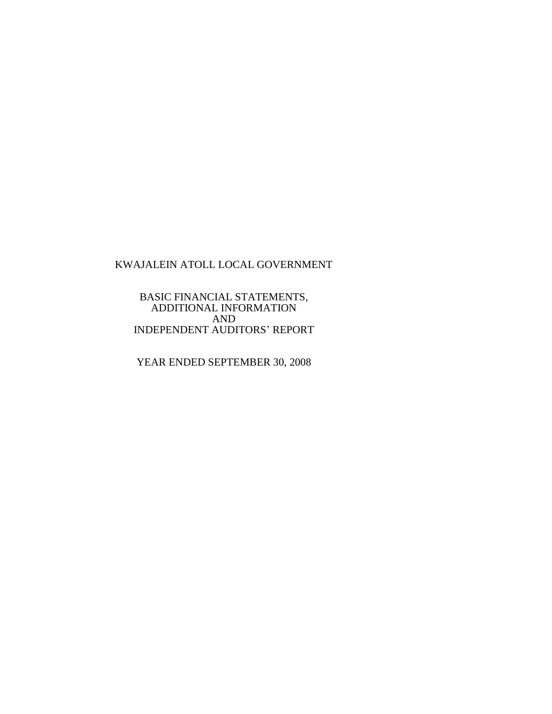BASIC FINANCIAL STATEMENTS, ADDITIONAL INFORMATION AND INDEPENDENT AUDITORS' REPORT

YEAR ENDED SEPTEMBER 30, 2008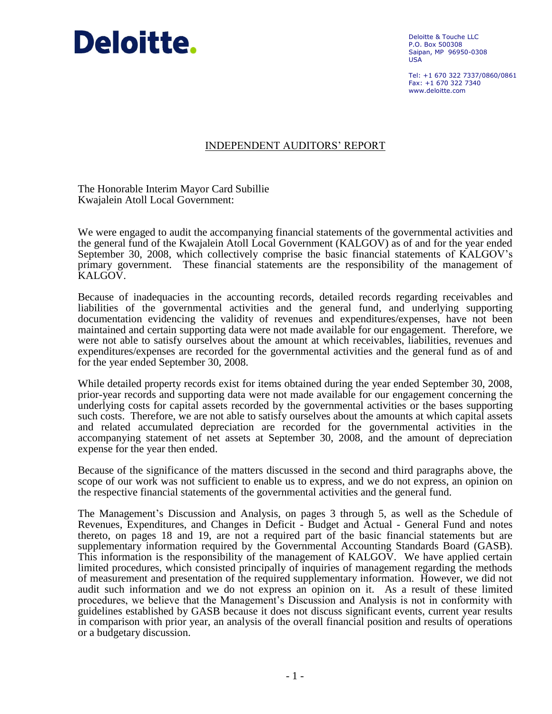

Deloitte & Touche LLC P.O. Box 500308 Saipan, MP 96950-0308 USA

Tel: +1 670 322 7337/0860/0861 Fax: +1 670 322 7340 www.deloitte.com

## INDEPENDENT AUDITORS' REPORT

The Honorable Interim Mayor Card Subillie Kwajalein Atoll Local Government:

We were engaged to audit the accompanying financial statements of the governmental activities and the general fund of the Kwajalein Atoll Local Government (KALGOV) as of and for the year ended September 30, 2008, which collectively comprise the basic financial statements of KALGOV's primary government. These financial statements are the responsibility of the management of KALGOV.

Because of inadequacies in the accounting records, detailed records regarding receivables and liabilities of the governmental activities and the general fund, and underlying supporting documentation evidencing the validity of revenues and expenditures/expenses, have not been maintained and certain supporting data were not made available for our engagement. Therefore, we were not able to satisfy ourselves about the amount at which receivables, liabilities, revenues and expenditures/expenses are recorded for the governmental activities and the general fund as of and for the year ended September 30, 2008.

While detailed property records exist for items obtained during the year ended September 30, 2008, prior-year records and supporting data were not made available for our engagement concerning the underlying costs for capital assets recorded by the governmental activities or the bases supporting such costs. Therefore, we are not able to satisfy ourselves about the amounts at which capital assets and related accumulated depreciation are recorded for the governmental activities in the accompanying statement of net assets at September 30, 2008, and the amount of depreciation expense for the year then ended.

Because of the significance of the matters discussed in the second and third paragraphs above, the scope of our work was not sufficient to enable us to express, and we do not express, an opinion on the respective financial statements of the governmental activities and the general fund.

The Management's Discussion and Analysis, on pages 3 through 5, as well as the Schedule of Revenues, Expenditures, and Changes in Deficit - Budget and Actual - General Fund and notes thereto, on pages 18 and 19, are not a required part of the basic financial statements but are supplementary information required by the Governmental Accounting Standards Board (GASB). This information is the responsibility of the management of KALGOV. We have applied certain limited procedures, which consisted principally of inquiries of management regarding the methods of measurement and presentation of the required supplementary information. However, we did not audit such information and we do not express an opinion on it. As a result of these limited procedures, we believe that the Management's Discussion and Analysis is not in conformity with guidelines established by GASB because it does not discuss significant events, current year results in comparison with prior year, an analysis of the overall financial position and results of operations or a budgetary discussion.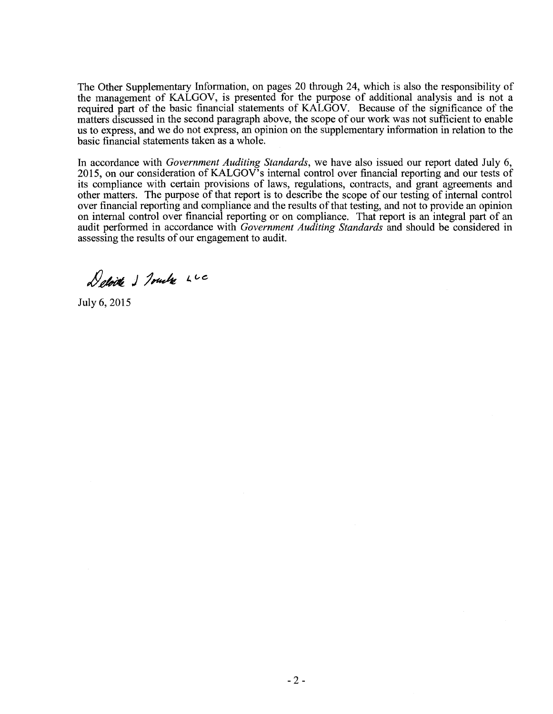The Other Supplementary Information, on pages 20 through 24, which is also the responsibility of the management of KALGOV, is presented for the purpose of additional analysis and is not a required part of the basic financial statements of KALGOV. Because of the significance of the matters discussed in the second paragraph above, the scope of our work was not sufficient to enable us to express, and we do not express, an opinion on the supplementary information in relation to the basic financial statements taken as a whole.

In accordance with *Government Auditing Standards,* we have also issued our report dated July 6, 2015, on our consideration of KALGOV's internal control over financial reporting and our tests of its compliance with certain provisions of laws, regulations, contracts, and grant agreements and other matters. The purpose of that report is to describe the scope of our testing of internal control over financial reporting and compliance and the results of that testing, and not to provide an opinion on internal control over financial reporting or on compliance. That report is an integral part of an audit performed in accordance with *Government Auditing Standards* and should be considered in assessing the results of our engagement to audit.

Deloite 1 Touche LC

July 6, 2015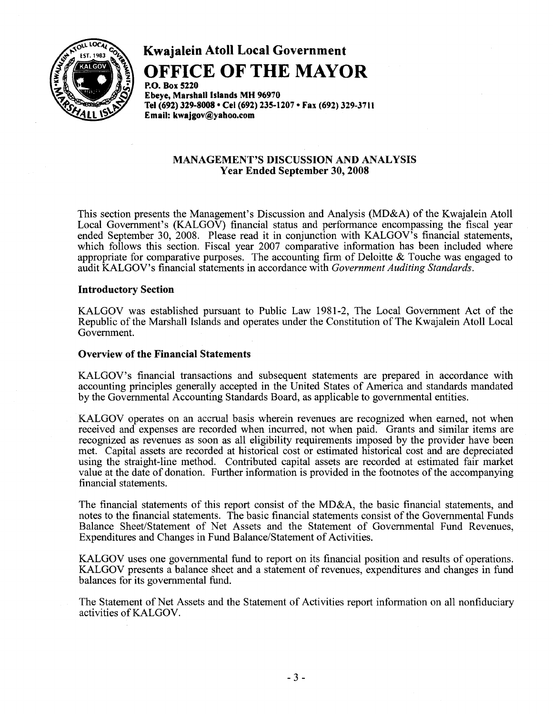

# **Kwajalein Atoll Local Government OFFICE OF THE MAYOR**

P.O. Box 5220 Ebeye, Marshall Islands MH 96970 Tel (692) 329-8008 · Cel (692) 235-1207 · Fax (692) 329-3711 Email: kwajgov@yahoo.com

### MANAGEMENT'S DISCUSSION AND ANALYSIS Year Ended September 30, 2008

This section presents the Management's Discussion and Analysis (MD&A) of the Kwajalein Atoll Local Government's (KALGOV) financial status and performance encompassing the fiscal year ended September 30, 2008. Please read it in conjunction with KALGOV's financial statements, which follows this section. Fiscal year 2007 comparative information has been included where appropriate for comparative purposes. The accounting firm of Deloitte & Touche was engaged to audit KALGOV's financial statements in accordance with *Government Auditing Standards.* 

#### Introductory Section

KALGOV was established pursuant to Public Law 1981-2, The Local Government Act of the Republic of the Marshall Islands and operates under the Constitution of The Kwajalein Atoll Local Government.

#### Overview of the Financial Statements

KALGOV's financial transactions and subsequent statements are prepared in accordance with accounting principles generally accepted in the United States of America and standards mandated by the Governmental Accounting Standards Board, as applicable to governmental entities.

KALGOV operates on an accrual basis wherein revenues are recognized when earned, not when received and expenses are recorded when incurred, not when paid. Grants and similar items are recognized as revenues as soon as all eligibility requirements imposed by the provider have been met. Capital assets are recorded at historical cost or estimated historical cost and are depreciated using the straight-line method. Contributed capital assets are recorded at estimated fair market value at the date of donation. Further information is provided in the footnotes of the accompanying financial statements.

The financial statements of this report consist of the MD&A, the basic financial statements, and notes to the financial statements. The basic financial statements consist of the Governmental Funds Balance Sheet/Statement of Net Assets and the Statement of Governmental Fund Revenues, Expenditures and Changes in Fund Balance/Statement of Activities.

KALGOV uses one governmental fund to report on its financial position and results of operations. KALGOV presents a balance sheet and a statement of revenues, expenditures and changes in fund balances for its governmental fund.

The Statement of Net Assets and the Statement of Activities report information on all nonfiduciary activities of KALGOV.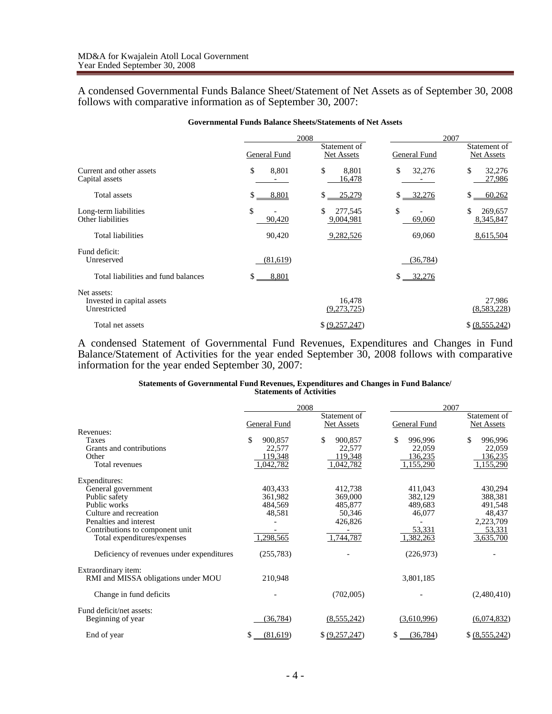A condensed Governmental Funds Balance Sheet/Statement of Net Assets as of September 30, 2008 follows with comparative information as of September 30, 2007:

|                                                           |              | 2008                              | 2007         |                            |
|-----------------------------------------------------------|--------------|-----------------------------------|--------------|----------------------------|
|                                                           | General Fund | Statement of<br><b>Net Assets</b> | General Fund | Statement of<br>Net Assets |
| Current and other assets<br>Capital assets                | \$<br>8,801  | \$<br>8,801<br>16,478             | \$<br>32,276 | \$<br>32,276<br>27,986     |
| Total assets                                              | \$<br>8,801  | \$<br>25,279                      | $$ -32,276$  | 60,262<br>\$               |
| Long-term liabilities<br>Other liabilities                | \$<br>90,420 | \$<br>277,545<br>9,004,981        | \$<br>69,060 | \$<br>269,657<br>8,345,847 |
| Total liabilities                                         | 90,420       | 9,282,526                         | 69,060       | 8,615,504                  |
| Fund deficit:<br>Unreserved                               | (81,619)     |                                   | (36,784)     |                            |
| Total liabilities and fund balances                       | \$<br>8,801  |                                   | $$ -32,276$  |                            |
| Net assets:<br>Invested in capital assets<br>Unrestricted |              | 16,478<br>(9,273,725)             |              | 27,986<br>(8,583,228)      |
| Total net assets                                          |              | \$ (9,257,247)                    |              | \$ (8,555,242)             |

A condensed Statement of Governmental Fund Revenues, Expenditures and Changes in Fund Balance/Statement of Activities for the year ended September 30, 2008 follows with comparative information for the year ended September 30, 2007:

#### **Statements of Governmental Fund Revenues, Expenditures and Changes in Fund Balance/ Statements of Activities**

|                                               |                | 2008                       | 2007            |                            |  |
|-----------------------------------------------|----------------|----------------------------|-----------------|----------------------------|--|
|                                               | General Fund   | Statement of<br>Net Assets | General Fund    | Statement of<br>Net Assets |  |
| Revenues:                                     |                |                            |                 |                            |  |
| Taxes                                         | \$<br>900,857  | \$<br>900,857              | \$<br>996,996   | \$<br>996,996              |  |
| Grants and contributions                      | 22,577         | 22,577                     | 22,059          | 22,059                     |  |
| Other                                         | 119,348        | 119,348                    | 136,235         | 136,235                    |  |
| Total revenues                                | 1,042,782      | 1,042,782                  | 1,155,290       | 1,155,290                  |  |
| Expenditures:                                 |                |                            |                 |                            |  |
| General government                            | 403,433        | 412,738                    | 411,043         | 430,294                    |  |
| Public safety                                 | 361,982        | 369,000                    | 382,129         | 388,381                    |  |
| Public works                                  | 484,569        | 485,877                    | 489,683         | 491,548                    |  |
| Culture and recreation                        | 48,581         | 50,346                     | 46,077          | 48,437                     |  |
| Penalties and interest                        |                | 426,826                    |                 | 2,223,709                  |  |
| Contributions to component unit               |                |                            | 53,331          | 53,331                     |  |
| Total expenditures/expenses                   | 1,298,565      | 1,744,787                  | 1,382,263       | 3,635,700                  |  |
| Deficiency of revenues under expenditures     | (255, 783)     |                            | (226, 973)      |                            |  |
| Extraordinary item:                           |                |                            |                 |                            |  |
| RMI and MISSA obligations under MOU           | 210,948        |                            | 3,801,185       |                            |  |
| Change in fund deficits                       |                | (702,005)                  |                 | (2,480,410)                |  |
| Fund deficit/net assets:<br>Beginning of year | (36, 784)      | (8, 555, 242)              | (3,610,996)     | (6,074,832)                |  |
| End of year                                   | (81,619)<br>\$ | \$ (9,257,247)             | (36, 784)<br>S. | \$ (8,555,242)             |  |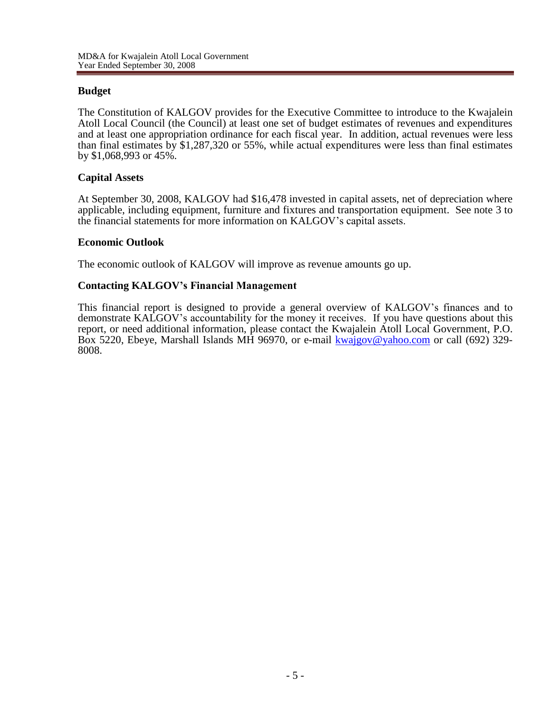## **Budget**

The Constitution of KALGOV provides for the Executive Committee to introduce to the Kwajalein Atoll Local Council (the Council) at least one set of budget estimates of revenues and expenditures and at least one appropriation ordinance for each fiscal year. In addition, actual revenues were less than final estimates by \$1,287,320 or 55%, while actual expenditures were less than final estimates by \$1,068,993 or 45%.

## **Capital Assets**

At September 30, 2008, KALGOV had \$16,478 invested in capital assets, net of depreciation where applicable, including equipment, furniture and fixtures and transportation equipment. See note 3 to the financial statements for more information on KALGOV's capital assets.

## **Economic Outlook**

The economic outlook of KALGOV will improve as revenue amounts go up.

## **Contacting KALGOV's Financial Management**

This financial report is designed to provide a general overview of KALGOV's finances and to demonstrate KALGOV's accountability for the money it receives. If you have questions about this report, or need additional information, please contact the Kwajalein Atoll Local Government, P.O. Box 5220, Ebeye, Marshall Islands MH 96970, or e-mail [kwajgov@yahoo.com](mailto:kwajgov@yahoo.com) or call (692) 329-8008.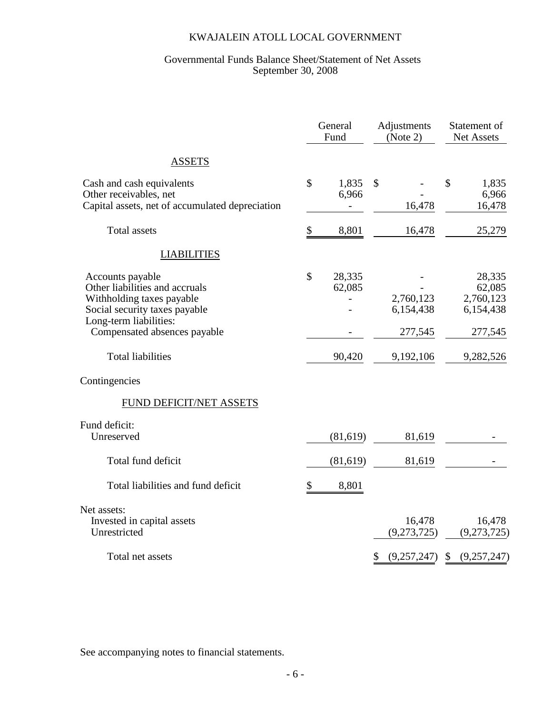#### Governmental Funds Balance Sheet/Statement of Net Assets September 30, 2008

|                                                                                                                                            | General<br>Fund           | Adjustments<br>(Note 2) | Statement of<br>Net Assets                 |
|--------------------------------------------------------------------------------------------------------------------------------------------|---------------------------|-------------------------|--------------------------------------------|
| <b>ASSETS</b>                                                                                                                              |                           |                         |                                            |
| Cash and cash equivalents<br>Other receivables, net<br>Capital assets, net of accumulated depreciation                                     | \$<br>1,835<br>6,966<br>4 | $\mathbb{S}$<br>16,478  | \$<br>1,835<br>6,966<br>16,478             |
| <b>Total</b> assets                                                                                                                        | \$<br>8,801               | 16,478                  | 25,279                                     |
| <b>LIABILITIES</b>                                                                                                                         |                           |                         |                                            |
| Accounts payable<br>Other liabilities and accruals<br>Withholding taxes payable<br>Social security taxes payable<br>Long-term liabilities: | \$<br>28,335<br>62,085    | 2,760,123<br>6,154,438  | 28,335<br>62,085<br>2,760,123<br>6,154,438 |
| Compensated absences payable                                                                                                               |                           | 277,545                 | 277,545                                    |
| <b>Total liabilities</b>                                                                                                                   | 90,420                    | 9,192,106               | 9,282,526                                  |
| Contingencies                                                                                                                              |                           |                         |                                            |
| <b>FUND DEFICIT/NET ASSETS</b>                                                                                                             |                           |                         |                                            |
| Fund deficit:<br>Unreserved                                                                                                                | (81,619)                  | 81,619                  |                                            |
| Total fund deficit                                                                                                                         | (81,619)                  | 81,619                  |                                            |
| Total liabilities and fund deficit                                                                                                         | \$<br>8,801               |                         |                                            |
| Net assets:<br>Invested in capital assets<br>Unrestricted                                                                                  |                           | 16,478<br>(9,273,725)   | 16,478<br>(9,273,725)                      |
| Total net assets                                                                                                                           |                           | (9,257,247)<br>\$       | \$<br>(9,257,247)                          |

See accompanying notes to financial statements.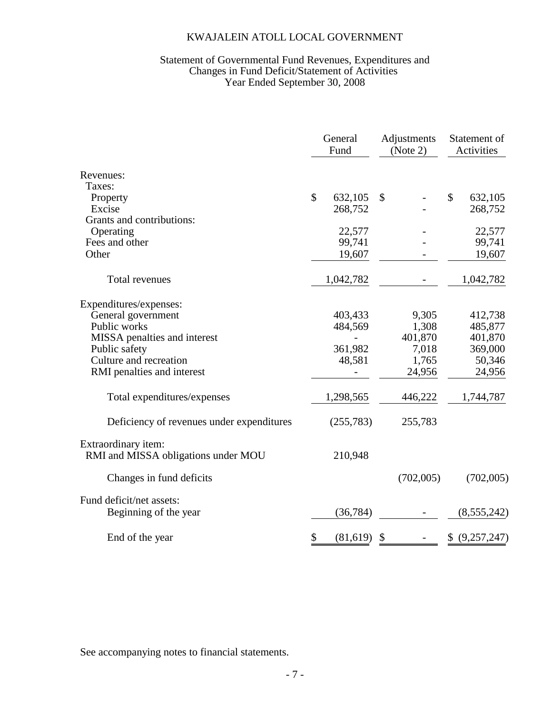#### Statement of Governmental Fund Revenues, Expenditures and Changes in Fund Deficit/Statement of Activities Year Ended September 30, 2008

|                                                            | General<br>Fund |            | Adjustments<br>(Note 2) | Statement of<br>Activities |
|------------------------------------------------------------|-----------------|------------|-------------------------|----------------------------|
| Revenues:                                                  |                 |            |                         |                            |
| Taxes:                                                     |                 |            |                         |                            |
| Property                                                   | $\mathcal{S}$   | 632,105    | \$                      | \$<br>632,105              |
| Excise                                                     |                 | 268,752    |                         | 268,752                    |
| Grants and contributions:                                  |                 |            |                         |                            |
| Operating                                                  |                 | 22,577     |                         | 22,577                     |
| Fees and other                                             |                 | 99,741     |                         | 99,741                     |
| Other                                                      |                 | 19,607     |                         | 19,607                     |
| Total revenues                                             |                 | 1,042,782  |                         | 1,042,782                  |
| Expenditures/expenses:                                     |                 |            |                         |                            |
| General government                                         |                 | 403,433    | 9,305                   | 412,738                    |
| Public works                                               |                 | 484,569    | 1,308                   | 485,877                    |
| MISSA penalties and interest                               |                 |            | 401,870                 | 401,870                    |
| Public safety                                              |                 | 361,982    | 7,018                   | 369,000                    |
| Culture and recreation                                     |                 | 48,581     | 1,765                   | 50,346                     |
| RMI penalties and interest                                 |                 |            | 24,956                  | 24,956                     |
| Total expenditures/expenses                                |                 | 1,298,565  | 446,222                 | 1,744,787                  |
| Deficiency of revenues under expenditures                  |                 | (255, 783) | 255,783                 |                            |
| Extraordinary item:<br>RMI and MISSA obligations under MOU |                 | 210,948    |                         |                            |
| Changes in fund deficits                                   |                 |            | (702,005)               | (702,005)                  |
| Fund deficit/net assets:<br>Beginning of the year          |                 | (36, 784)  |                         | (8, 555, 242)              |
| End of the year                                            | \$              | (81,619)   | \$                      | \$ (9,257,247)             |

See accompanying notes to financial statements.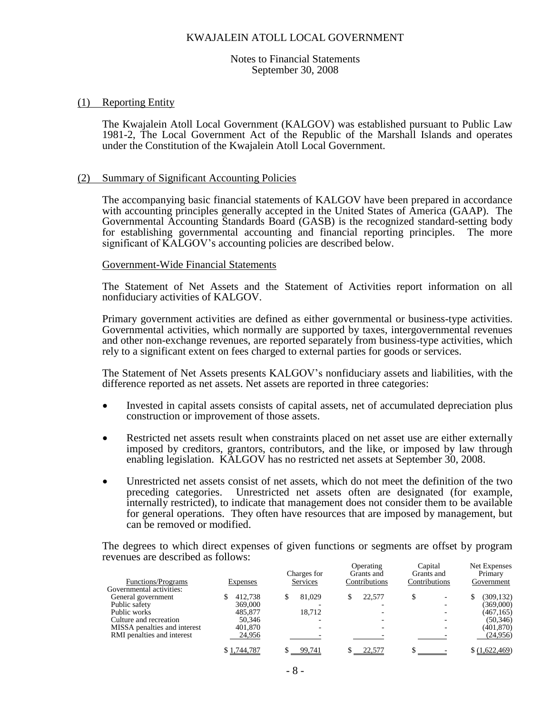Notes to Financial Statements September 30, 2008

#### (1) Reporting Entity

The Kwajalein Atoll Local Government (KALGOV) was established pursuant to Public Law 1981-2, The Local Government Act of the Republic of the Marshall Islands and operates under the Constitution of the Kwajalein Atoll Local Government.

#### (2) Summary of Significant Accounting Policies

The accompanying basic financial statements of KALGOV have been prepared in accordance with accounting principles generally accepted in the United States of America (GAAP). The Governmental Accounting Standards Board (GASB) is the recognized standard-setting body for establishing governmental accounting and financial reporting principles. The more significant of KALGOV's accounting policies are described below.

#### Government-Wide Financial Statements

The Statement of Net Assets and the Statement of Activities report information on all nonfiduciary activities of KALGOV.

Primary government activities are defined as either governmental or business-type activities. Governmental activities, which normally are supported by taxes, intergovernmental revenues and other non-exchange revenues, are reported separately from business-type activities, which rely to a significant extent on fees charged to external parties for goods or services.

The Statement of Net Assets presents KALGOV's nonfiduciary assets and liabilities, with the difference reported as net assets. Net assets are reported in three categories:

- Invested in capital assets consists of capital assets, net of accumulated depreciation plus construction or improvement of those assets.
- Restricted net assets result when constraints placed on net asset use are either externally imposed by creditors, grantors, contributors, and the like, or imposed by law through enabling legislation. KALGOV has no restricted net assets at September 30, 2008.
- Unrestricted net assets consist of net assets, which do not meet the definition of the two preceding categories. Unrestricted net assets often are designated (for example, internally restricted), to indicate that management does not consider them to be available for general operations. They often have resources that are imposed by management, but can be removed or modified.

The degrees to which direct expenses of given functions or segments are offset by program revenues are described as follows:  $\overline{O}$  at  $\overline{O}$  and  $\overline{O}$  and  $\overline{O}$ 

| Functions/Programs           | Expenses    | Charges for<br>Services | <b>Operating</b><br>Grants and<br>Contributions | Contributions | Capital<br>Grants and | Net Expenses<br>Primary<br>Government |
|------------------------------|-------------|-------------------------|-------------------------------------------------|---------------|-----------------------|---------------------------------------|
| Governmental activities:     |             |                         |                                                 |               |                       |                                       |
| General government           | 412,738     | 81,029                  | 22.577                                          | S             |                       | (309, 132)                            |
| Public safety                | 369,000     |                         |                                                 |               |                       | (369,000)                             |
| Public works                 | 485,877     | 18.712                  |                                                 |               |                       | (467, 165)                            |
| Culture and recreation       | 50.346      |                         |                                                 |               |                       | (50, 346)                             |
| MISSA penalties and interest | 401,870     |                         |                                                 |               |                       | (401, 870)                            |
| RMI penalties and interest   | 24,956      |                         |                                                 |               |                       | (24,956)                              |
|                              | \$1,744,787 | 99,741                  | 22,577                                          |               |                       | \$(1,622,469)                         |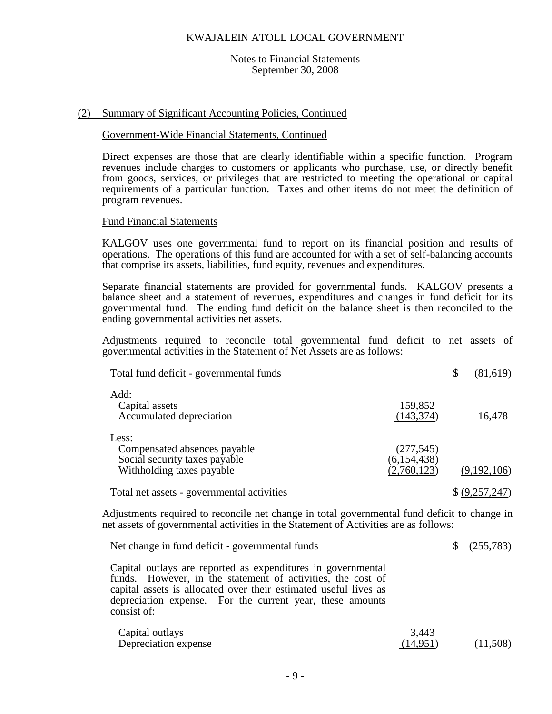#### Notes to Financial Statements September 30, 2008

#### (2) Summary of Significant Accounting Policies, Continued

#### Government-Wide Financial Statements, Continued

Direct expenses are those that are clearly identifiable within a specific function. Program revenues include charges to customers or applicants who purchase, use, or directly benefit from goods, services, or privileges that are restricted to meeting the operational or capital requirements of a particular function. Taxes and other items do not meet the definition of program revenues.

#### Fund Financial Statements

KALGOV uses one governmental fund to report on its financial position and results of operations. The operations of this fund are accounted for with a set of self-balancing accounts that comprise its assets, liabilities, fund equity, revenues and expenditures.

Separate financial statements are provided for governmental funds. KALGOV presents a balance sheet and a statement of revenues, expenditures and changes in fund deficit for its governmental fund. The ending fund deficit on the balance sheet is then reconciled to the ending governmental activities net assets.

Adjustments required to reconcile total governmental fund deficit to net assets of governmental activities in the Statement of Net Assets are as follows:

| Total fund deficit - governmental funds                                                             |                                            | (81,619)       |
|-----------------------------------------------------------------------------------------------------|--------------------------------------------|----------------|
| Add:<br>Capital assets<br>Accumulated depreciation                                                  | 159,852<br>(143, 374)                      | 16,478         |
| Less:<br>Compensated absences payable<br>Social security taxes payable<br>Withholding taxes payable | (277, 545)<br>(6, 154, 438)<br>(2,760,123) | (9,192,106)    |
| Total net assets - governmental activities                                                          |                                            | \$ (9,257,247) |

Adjustments required to reconcile net change in total governmental fund deficit to change in net assets of governmental activities in the Statement of Activities are as follows:

| Net change in fund deficit - governmental funds                                                                                                                                                                                                                             |                   | $\frac{1}{2}$ (255,783) |
|-----------------------------------------------------------------------------------------------------------------------------------------------------------------------------------------------------------------------------------------------------------------------------|-------------------|-------------------------|
| Capital outlays are reported as expenditures in governmental<br>funds. However, in the statement of activities, the cost of<br>capital assets is allocated over their estimated useful lives as<br>depreciation expense. For the current year, these amounts<br>consist of: |                   |                         |
| Capital outlays<br>Depreciation expense                                                                                                                                                                                                                                     | 3,443<br>(14,951) | (11,508)                |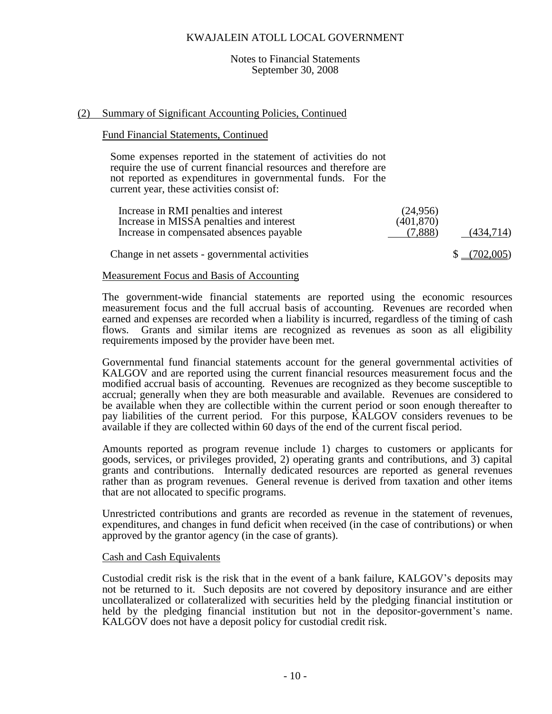#### Notes to Financial Statements September 30, 2008

#### (2) Summary of Significant Accounting Policies, Continued

#### Fund Financial Statements, Continued

Some expenses reported in the statement of activities do not require the use of current financial resources and therefore are not reported as expenditures in governmental funds. For the current year, these activities consist of:

| Increase in RMI penalties and interest<br>Increase in MISSA penalties and interest<br>Increase in compensated absences payable | (24,956)<br>(401,870)<br>(7.888) | (434,714)        |
|--------------------------------------------------------------------------------------------------------------------------------|----------------------------------|------------------|
| Change in net assets - governmental activities                                                                                 |                                  | (702,005)<br>SS. |

#### Measurement Focus and Basis of Accounting

The government-wide financial statements are reported using the economic resources measurement focus and the full accrual basis of accounting. Revenues are recorded when earned and expenses are recorded when a liability is incurred, regardless of the timing of cash flows. Grants and similar items are recognized as revenues as soon as all eligibility requirements imposed by the provider have been met.

Governmental fund financial statements account for the general governmental activities of KALGOV and are reported using the current financial resources measurement focus and the modified accrual basis of accounting. Revenues are recognized as they become susceptible to accrual; generally when they are both measurable and available. Revenues are considered to be available when they are collectible within the current period or soon enough thereafter to pay liabilities of the current period. For this purpose, KALGOV considers revenues to be available if they are collected within 60 days of the end of the current fiscal period.

Amounts reported as program revenue include 1) charges to customers or applicants for goods, services, or privileges provided, 2) operating grants and contributions, and 3) capital grants and contributions. Internally dedicated resources are reported as general revenues rather than as program revenues. General revenue is derived from taxation and other items that are not allocated to specific programs.

Unrestricted contributions and grants are recorded as revenue in the statement of revenues, expenditures, and changes in fund deficit when received (in the case of contributions) or when approved by the grantor agency (in the case of grants).

#### Cash and Cash Equivalents

Custodial credit risk is the risk that in the event of a bank failure, KALGOV's deposits may not be returned to it. Such deposits are not covered by depository insurance and are either uncollateralized or collateralized with securities held by the pledging financial institution or held by the pledging financial institution but not in the depositor-government's name. KALGOV does not have a deposit policy for custodial credit risk.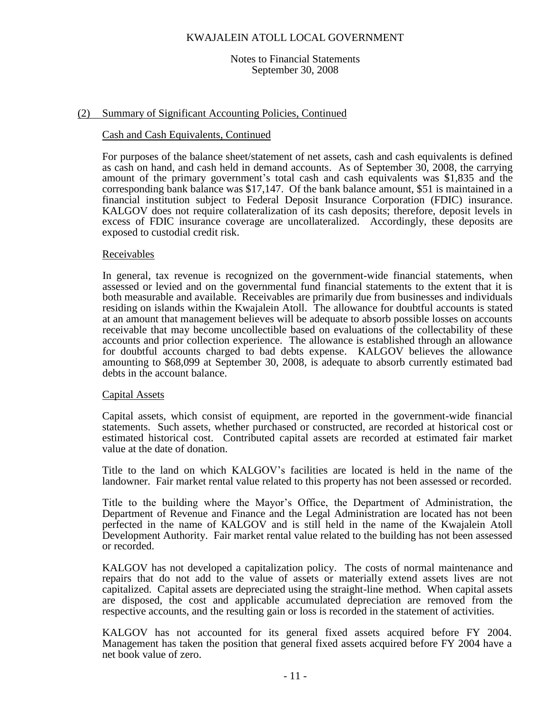#### Notes to Financial Statements September 30, 2008

#### (2) Summary of Significant Accounting Policies, Continued

#### Cash and Cash Equivalents, Continued

For purposes of the balance sheet/statement of net assets, cash and cash equivalents is defined as cash on hand, and cash held in demand accounts. As of September 30, 2008, the carrying amount of the primary government's total cash and cash equivalents was \$1,835 and the corresponding bank balance was \$17,147. Of the bank balance amount, \$51 is maintained in a financial institution subject to Federal Deposit Insurance Corporation (FDIC) insurance. KALGOV does not require collateralization of its cash deposits; therefore, deposit levels in excess of FDIC insurance coverage are uncollateralized. Accordingly, these deposits are exposed to custodial credit risk.

#### Receivables

In general, tax revenue is recognized on the government-wide financial statements, when assessed or levied and on the governmental fund financial statements to the extent that it is both measurable and available. Receivables are primarily due from businesses and individuals residing on islands within the Kwajalein Atoll. The allowance for doubtful accounts is stated at an amount that management believes will be adequate to absorb possible losses on accounts receivable that may become uncollectible based on evaluations of the collectability of these accounts and prior collection experience. The allowance is established through an allowance for doubtful accounts charged to bad debts expense. KALGOV believes the allowance amounting to \$68,099 at September 30, 2008, is adequate to absorb currently estimated bad debts in the account balance.

#### Capital Assets

Capital assets, which consist of equipment, are reported in the government-wide financial statements. Such assets, whether purchased or constructed, are recorded at historical cost or estimated historical cost. Contributed capital assets are recorded at estimated fair market value at the date of donation.

Title to the land on which KALGOV's facilities are located is held in the name of the landowner. Fair market rental value related to this property has not been assessed or recorded.

Title to the building where the Mayor's Office, the Department of Administration, the Department of Revenue and Finance and the Legal Administration are located has not been perfected in the name of KALGOV and is still held in the name of the Kwajalein Atoll Development Authority. Fair market rental value related to the building has not been assessed or recorded.

KALGOV has not developed a capitalization policy. The costs of normal maintenance and repairs that do not add to the value of assets or materially extend assets lives are not capitalized. Capital assets are depreciated using the straight-line method. When capital assets are disposed, the cost and applicable accumulated depreciation are removed from the respective accounts, and the resulting gain or loss is recorded in the statement of activities.

KALGOV has not accounted for its general fixed assets acquired before FY 2004. Management has taken the position that general fixed assets acquired before FY 2004 have a net book value of zero.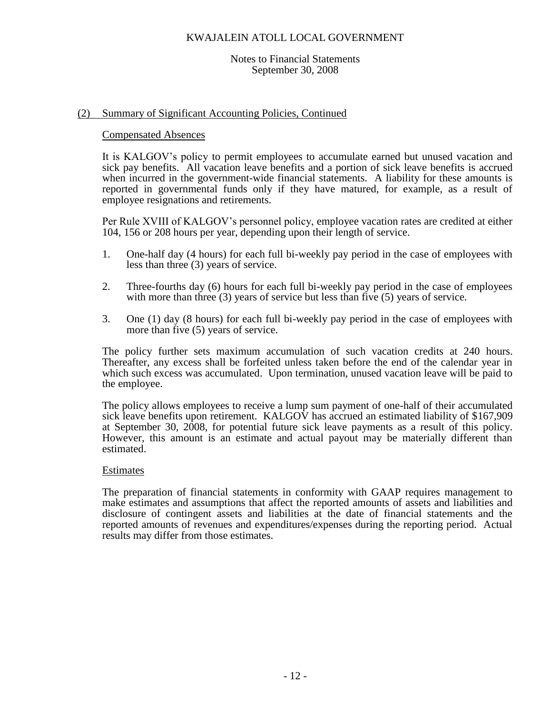#### Notes to Financial Statements September 30, 2008

### (2) Summary of Significant Accounting Policies, Continued

#### Compensated Absences

It is KALGOV's policy to permit employees to accumulate earned but unused vacation and sick pay benefits. All vacation leave benefits and a portion of sick leave benefits is accrued when incurred in the government-wide financial statements. A liability for these amounts is reported in governmental funds only if they have matured, for example, as a result of employee resignations and retirements.

Per Rule XVIII of KALGOV's personnel policy, employee vacation rates are credited at either 104, 156 or 208 hours per year, depending upon their length of service.

- 1. One-half day (4 hours) for each full bi-weekly pay period in the case of employees with less than three (3) years of service.
- 2. Three-fourths day (6) hours for each full bi-weekly pay period in the case of employees with more than three (3) years of service but less than five (5) years of service.
- 3. One (1) day (8 hours) for each full bi-weekly pay period in the case of employees with more than five (5) years of service.

The policy further sets maximum accumulation of such vacation credits at 240 hours. Thereafter, any excess shall be forfeited unless taken before the end of the calendar year in which such excess was accumulated. Upon termination, unused vacation leave will be paid to the employee.

The policy allows employees to receive a lump sum payment of one-half of their accumulated sick leave benefits upon retirement. KALGOV has accrued an estimated liability of \$167,909 at September 30, 2008, for potential future sick leave payments as a result of this policy. However, this amount is an estimate and actual payout may be materially different than estimated.

#### **Estimates**

The preparation of financial statements in conformity with GAAP requires management to make estimates and assumptions that affect the reported amounts of assets and liabilities and disclosure of contingent assets and liabilities at the date of financial statements and the reported amounts of revenues and expenditures/expenses during the reporting period. Actual results may differ from those estimates.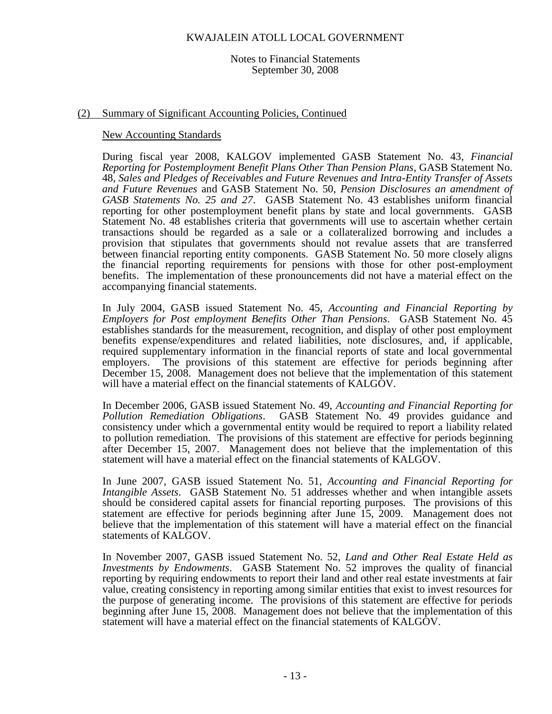Notes to Financial Statements September 30, 2008

#### (2) Summary of Significant Accounting Policies, Continued

#### New Accounting Standards

During fiscal year 2008, KALGOV implemented GASB Statement No. 43, *Financial Reporting for Postemployment Benefit Plans Other Than Pension Plans*, GASB Statement No. 48, *Sales and Pledges of Receivables and Future Revenues and Intra-Entity Transfer of Assets and Future Revenues* and GASB Statement No. 50, *Pension Disclosures an amendment of GASB Statements No. 25 and 27*. GASB Statement No. 43 establishes uniform financial reporting for other postemployment benefit plans by state and local governments. GASB Statement No. 48 establishes criteria that governments will use to ascertain whether certain transactions should be regarded as a sale or a collateralized borrowing and includes a provision that stipulates that governments should not revalue assets that are transferred between financial reporting entity components. GASB Statement No. 50 more closely aligns the financial reporting requirements for pensions with those for other post-employment benefits. The implementation of these pronouncements did not have a material effect on the accompanying financial statements.

In July 2004, GASB issued Statement No. 45, *Accounting and Financial Reporting by Employers for Post employment Benefits Other Than Pensions*. GASB Statement No. 45 establishes standards for the measurement, recognition, and display of other post employment benefits expense/expenditures and related liabilities, note disclosures, and, if applicable, required supplementary information in the financial reports of state and local governmental employers. The provisions of this statement are effective for periods beginning after December 15, 2008. Management does not believe that the implementation of this statement will have a material effect on the financial statements of KALGOV.

In December 2006, GASB issued Statement No. 49, *Accounting and Financial Reporting for Pollution Remediation Obligations*. GASB Statement No. 49 provides guidance and consistency under which a governmental entity would be required to report a liability related to pollution remediation. The provisions of this statement are effective for periods beginning after December 15, 2007. Management does not believe that the implementation of this statement will have a material effect on the financial statements of KALGOV.

In June 2007, GASB issued Statement No. 51, *Accounting and Financial Reporting for Intangible Assets*. GASB Statement No. 51 addresses whether and when intangible assets should be considered capital assets for financial reporting purposes. The provisions of this statement are effective for periods beginning after June 15, 2009. Management does not believe that the implementation of this statement will have a material effect on the financial statements of KALGOV.

In November 2007, GASB issued Statement No. 52, *Land and Other Real Estate Held as Investments by Endowments*. GASB Statement No. 52 improves the quality of financial reporting by requiring endowments to report their land and other real estate investments at fair value, creating consistency in reporting among similar entities that exist to invest resources for the purpose of generating income. The provisions of this statement are effective for periods beginning after June 15, 2008. Management does not believe that the implementation of this statement will have a material effect on the financial statements of KALGOV.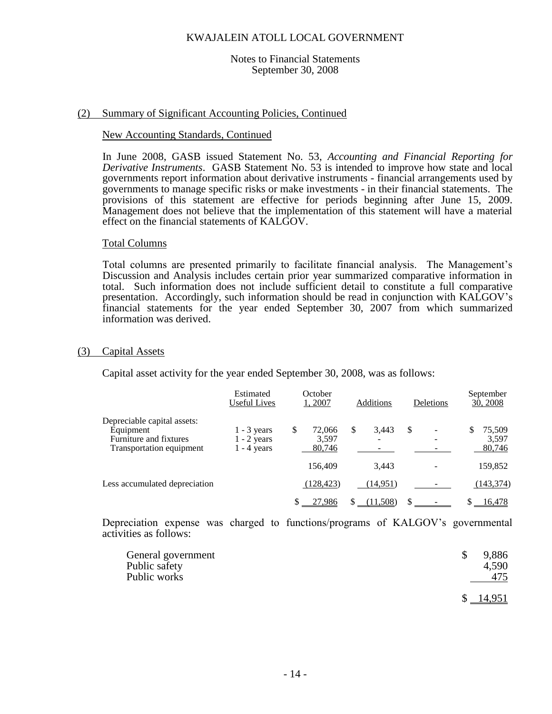#### Notes to Financial Statements September 30, 2008

#### (2) Summary of Significant Accounting Policies, Continued

#### New Accounting Standards, Continued

In June 2008, GASB issued Statement No. 53, *Accounting and Financial Reporting for Derivative Instruments*. GASB Statement No. 53 is intended to improve how state and local governments report information about derivative instruments - financial arrangements used by governments to manage specific risks or make investments - in their financial statements. The provisions of this statement are effective for periods beginning after June 15, 2009. Management does not believe that the implementation of this statement will have a material effect on the financial statements of KALGOV.

#### Total Columns

Total columns are presented primarily to facilitate financial analysis. The Management's Discussion and Analysis includes certain prior year summarized comparative information in total. Such information does not include sufficient detail to constitute a full comparative presentation. Accordingly, such information should be read in conjunction with KALGOV's financial statements for the year ended September 30, 2007 from which summarized information was derived.

#### (3) Capital Assets

Capital asset activity for the year ended September 30, 2008, was as follows:

|                                                                                                | Estimated<br><b>Useful Lives</b>                | October<br>1,2007              | Additions       | Deletions | September<br>30, 2008     |
|------------------------------------------------------------------------------------------------|-------------------------------------------------|--------------------------------|-----------------|-----------|---------------------------|
| Depreciable capital assets:<br>Equipment<br>Furniture and fixtures<br>Transportation equipment | $1 - 3$ years<br>$1 - 2$ years<br>$1 - 4$ years | S<br>72,066<br>3,597<br>80,746 | S<br>3.443<br>- | \$        | 75,509<br>3,597<br>80,746 |
|                                                                                                |                                                 | 156,409                        | 3.443           |           | 159,852                   |
| Less accumulated depreciation                                                                  |                                                 | (128, 423)                     | (14,951)        |           | (143, 374)                |
|                                                                                                |                                                 | 27,986                         | (11,508)        |           | 16,478                    |

Depreciation expense was charged to functions/programs of KALGOV's governmental activities as follows:

| General government<br>Public safety<br>Public works |              | 9,886<br>4,590<br>475 |
|-----------------------------------------------------|--------------|-----------------------|
|                                                     | <sup>S</sup> | 14,951                |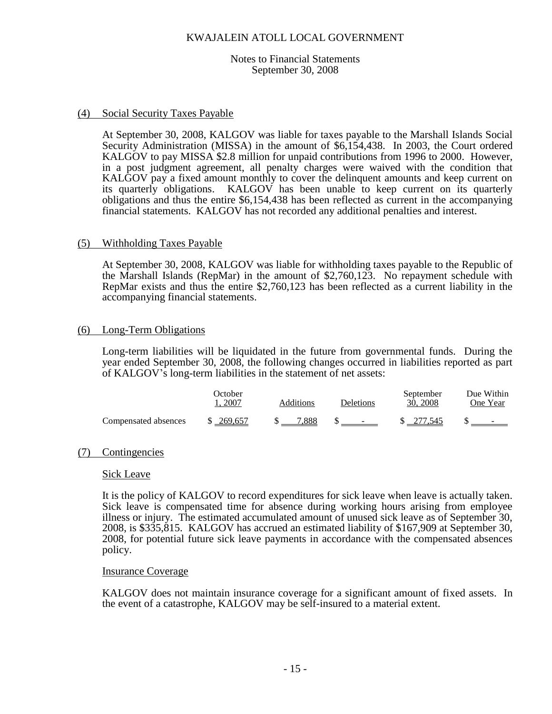#### Notes to Financial Statements September 30, 2008

### (4) Social Security Taxes Payable

At September 30, 2008, KALGOV was liable for taxes payable to the Marshall Islands Social Security Administration (MISSA) in the amount of \$6,154,438. In 2003, the Court ordered KALGOV to pay MISSA \$2.8 million for unpaid contributions from 1996 to 2000. However, in a post judgment agreement, all penalty charges were waived with the condition that KALGOV pay a fixed amount monthly to cover the delinquent amounts and keep current on its quarterly obligations. KALGOV has been unable to keep current on its quarterly obligations and thus the entire \$6,154,438 has been reflected as current in the accompanying financial statements. KALGOV has not recorded any additional penalties and interest.

#### (5) Withholding Taxes Payable

At September 30, 2008, KALGOV was liable for withholding taxes payable to the Republic of the Marshall Islands (RepMar) in the amount of \$2,760,123. No repayment schedule with RepMar exists and thus the entire \$2,760,123 has been reflected as a current liability in the accompanying financial statements.

#### (6) Long-Term Obligations

Long-term liabilities will be liquidated in the future from governmental funds. During the year ended September 30, 2008, the following changes occurred in liabilities reported as part of KALGOV's long-term liabilities in the statement of net assets:

|                      | <b>Dctober</b><br>2007 | Additions | Deletions                         | September<br>30, 2008 | Due Within<br>One Year |
|----------------------|------------------------|-----------|-----------------------------------|-----------------------|------------------------|
| Compensated absences | \$269,657              | 7.888     | <b>Contract Contract Contract</b> | \$ 277,545            | $\sim$                 |

## (7) Contingencies

#### Sick Leave

It is the policy of KALGOV to record expenditures for sick leave when leave is actually taken. Sick leave is compensated time for absence during working hours arising from employee illness or injury. The estimated accumulated amount of unused sick leave as of September 30, 2008, is \$335,815. KALGOV has accrued an estimated liability of \$167,909 at September 30, 2008, for potential future sick leave payments in accordance with the compensated absences policy.

#### Insurance Coverage

KALGOV does not maintain insurance coverage for a significant amount of fixed assets. In the event of a catastrophe, KALGOV may be self-insured to a material extent.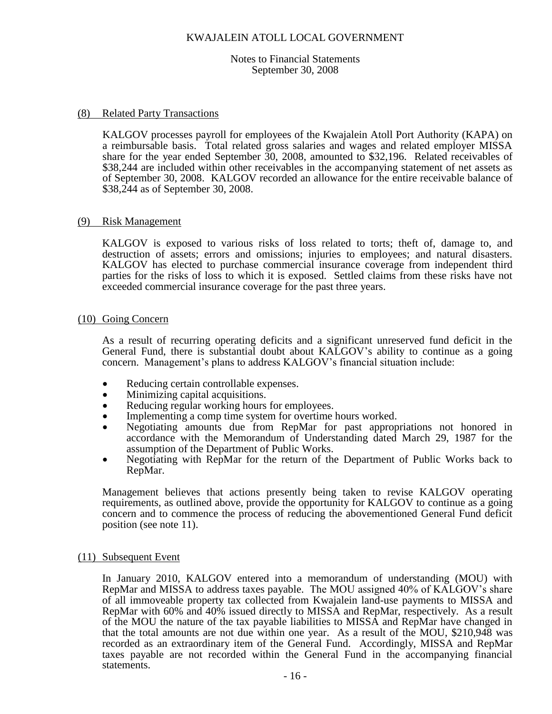#### Notes to Financial Statements September 30, 2008

#### (8) Related Party Transactions

KALGOV processes payroll for employees of the Kwajalein Atoll Port Authority (KAPA) on a reimbursable basis. Total related gross salaries and wages and related employer MISSA share for the year ended September 30, 2008, amounted to \$32,196. Related receivables of \$38,244 are included within other receivables in the accompanying statement of net assets as of September 30, 2008. KALGOV recorded an allowance for the entire receivable balance of \$38,244 as of September 30, 2008.

#### (9) Risk Management

KALGOV is exposed to various risks of loss related to torts; theft of, damage to, and destruction of assets; errors and omissions; injuries to employees; and natural disasters. KALGOV has elected to purchase commercial insurance coverage from independent third parties for the risks of loss to which it is exposed. Settled claims from these risks have not exceeded commercial insurance coverage for the past three years.

#### (10) Going Concern

As a result of recurring operating deficits and a significant unreserved fund deficit in the General Fund, there is substantial doubt about KALGOV's ability to continue as a going concern. Management's plans to address KALGOV's financial situation include:

- Reducing certain controllable expenses.
- Minimizing capital acquisitions.
- Reducing regular working hours for employees.
- Implementing a comp time system for overtime hours worked.
- Negotiating amounts due from RepMar for past appropriations not honored in accordance with the Memorandum of Understanding dated March 29, 1987 for the assumption of the Department of Public Works.
- Negotiating with RepMar for the return of the Department of Public Works back to RepMar.

Management believes that actions presently being taken to revise KALGOV operating requirements, as outlined above, provide the opportunity for KALGOV to continue as a going concern and to commence the process of reducing the abovementioned General Fund deficit position (see note 11).

#### (11) Subsequent Event

In January 2010, KALGOV entered into a memorandum of understanding (MOU) with RepMar and MISSA to address taxes payable. The MOU assigned 40% of KALGOV's share of all immoveable property tax collected from Kwajalein land-use payments to MISSA and RepMar with 60% and 40% issued directly to MISSA and RepMar, respectively. As a result of the MOU the nature of the tax payable liabilities to MISSA and RepMar have changed in that the total amounts are not due within one year. As a result of the MOU, \$210,948 was recorded as an extraordinary item of the General Fund. Accordingly, MISSA and RepMar taxes payable are not recorded within the General Fund in the accompanying financial statements.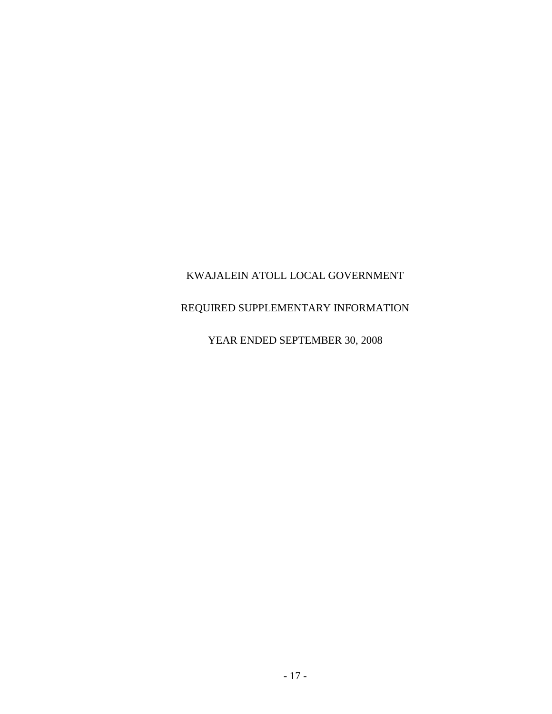## REQUIRED SUPPLEMENTARY INFORMATION

## YEAR ENDED SEPTEMBER 30, 2008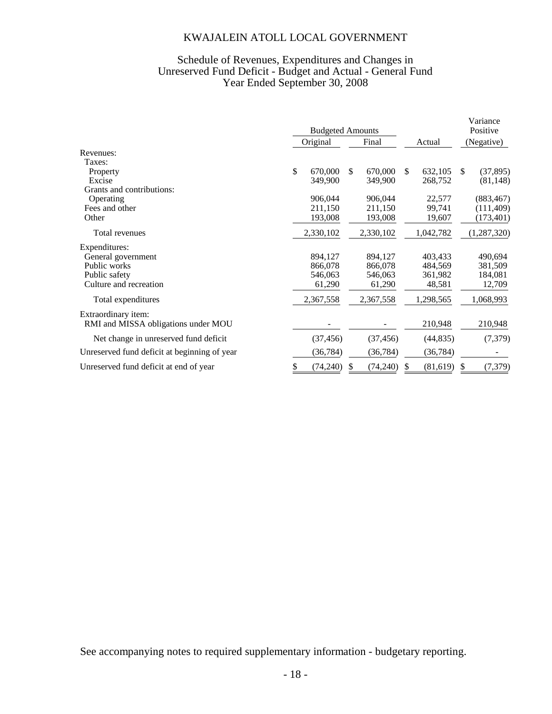## Schedule of Revenues, Expenditures and Changes in Unreserved Fund Deficit - Budget and Actual - General Fund Year Ended September 30, 2008

|                                              |               | <b>Budgeted Amounts</b>  |        |           | Variance<br>Positive |               |
|----------------------------------------------|---------------|--------------------------|--------|-----------|----------------------|---------------|
|                                              | Original      | Final                    | Actual |           | (Negative)           |               |
| Revenues:                                    |               |                          |        |           |                      |               |
| Taxes:                                       |               |                          |        |           |                      |               |
| Property                                     | \$<br>670,000 | 670,000<br><sup>\$</sup> | \$.    | 632,105   | \$.                  | (37, 895)     |
| Excise                                       | 349,900       | 349,900                  |        | 268,752   |                      | (81, 148)     |
| Grants and contributions:                    |               |                          |        |           |                      |               |
| Operating                                    | 906,044       | 906,044                  |        | 22,577    |                      | (883, 467)    |
| Fees and other                               | 211,150       | 211,150                  |        | 99,741    |                      | (111, 409)    |
| Other                                        | 193,008       | 193,008                  |        | 19,607    |                      | (173, 401)    |
| Total revenues                               | 2,330,102     | 2,330,102                |        | 1,042,782 |                      | (1, 287, 320) |
| Expenditures:                                |               |                          |        |           |                      |               |
| General government                           | 894,127       | 894,127                  |        | 403,433   |                      | 490,694       |
| Public works                                 | 866,078       | 866,078                  |        | 484,569   |                      | 381,509       |
| Public safety                                | 546,063       | 546,063                  |        | 361,982   |                      | 184,081       |
| Culture and recreation                       | 61,290        | 61,290                   |        | 48,581    |                      | 12,709        |
| Total expenditures                           | 2,367,558     | 2,367,558                |        | 1,298,565 |                      | 1,068,993     |
| Extraordinary item:                          |               |                          |        |           |                      |               |
| RMI and MISSA obligations under MOU          |               |                          |        | 210,948   |                      | 210,948       |
| Net change in unreserved fund deficit        | (37, 456)     | (37, 456)                |        | (44, 835) |                      | (7, 379)      |
| Unreserved fund deficit at beginning of year | (36,784)      | (36, 784)                |        | (36, 784) |                      |               |
| Unreserved fund deficit at end of year       | (74,240)      | (74,240)                 |        | (81, 619) |                      | (7, 379)      |

See accompanying notes to required supplementary information - budgetary reporting.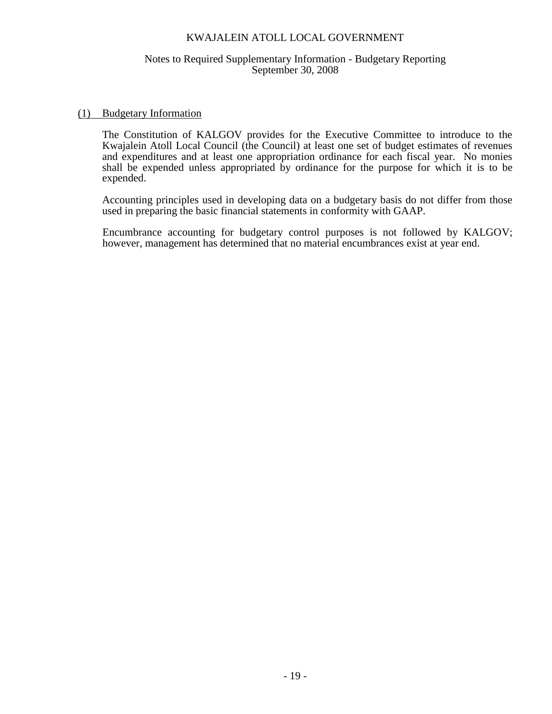### Notes to Required Supplementary Information - Budgetary Reporting September 30, 2008

#### (1) Budgetary Information

The Constitution of KALGOV provides for the Executive Committee to introduce to the Kwajalein Atoll Local Council (the Council) at least one set of budget estimates of revenues and expenditures and at least one appropriation ordinance for each fiscal year. No monies shall be expended unless appropriated by ordinance for the purpose for which it is to be expended.

Accounting principles used in developing data on a budgetary basis do not differ from those used in preparing the basic financial statements in conformity with GAAP.

Encumbrance accounting for budgetary control purposes is not followed by KALGOV; however, management has determined that no material encumbrances exist at year end.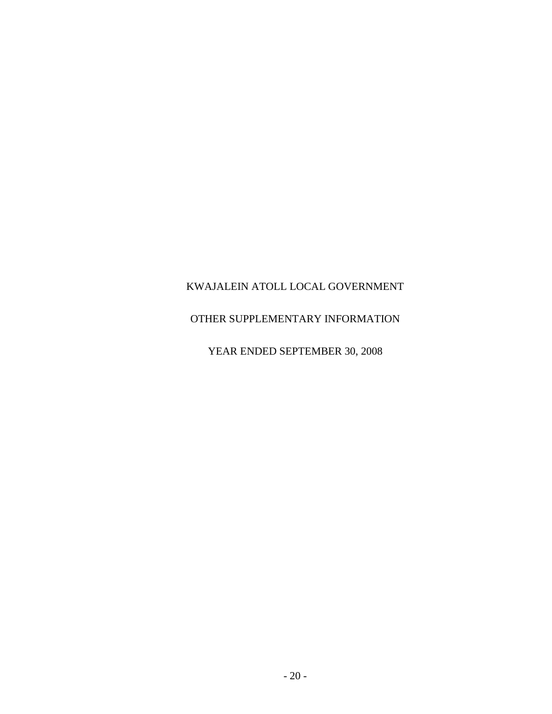## OTHER SUPPLEMENTARY INFORMATION

YEAR ENDED SEPTEMBER 30, 2008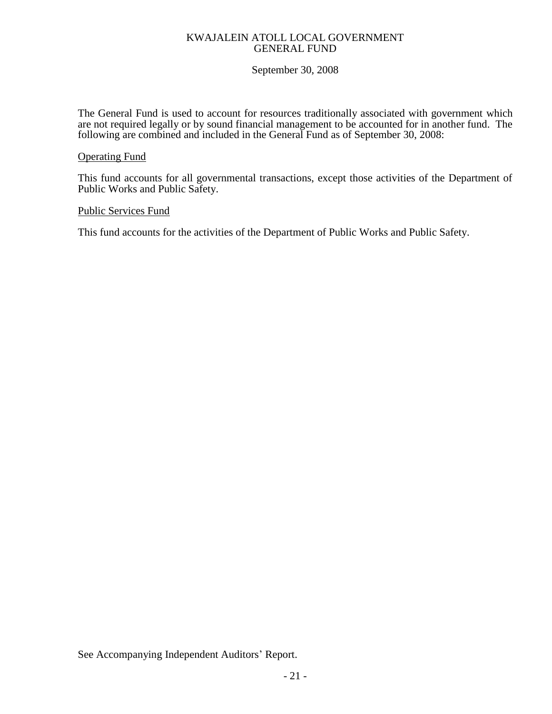### KWAJALEIN ATOLL LOCAL GOVERNMENT GENERAL FUND

## September 30, 2008

The General Fund is used to account for resources traditionally associated with government which are not required legally or by sound financial management to be accounted for in another fund. The following are combined and included in the General Fund as of September 30, 2008:

## Operating Fund

This fund accounts for all governmental transactions, except those activities of the Department of Public Works and Public Safety.

#### Public Services Fund

This fund accounts for the activities of the Department of Public Works and Public Safety.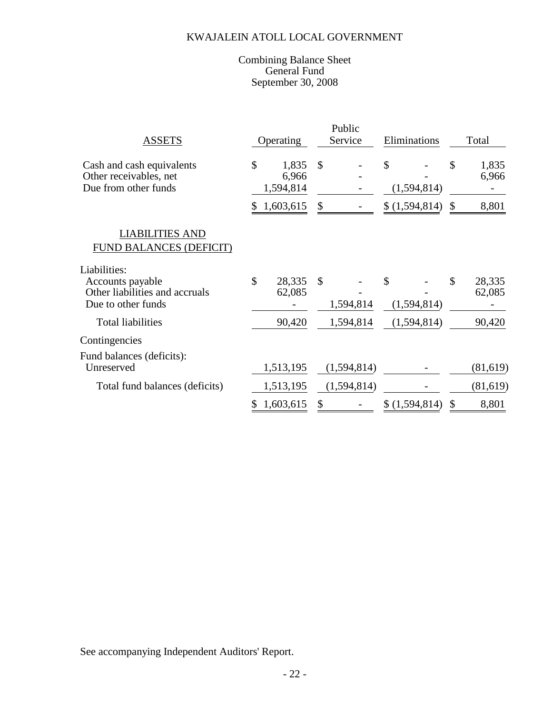#### Combining Balance Sheet General Fund September 30, 2008

| <b>ASSETS</b>                                                                            | Operating |                             | Public<br>Service |             | Eliminations      | Total                  |
|------------------------------------------------------------------------------------------|-----------|-----------------------------|-------------------|-------------|-------------------|------------------------|
| Cash and cash equivalents<br>Other receivables, net<br>Due from other funds              | \$        | 1,835<br>6,966<br>1,594,814 | $\mathcal{S}$     |             | \$<br>(1,594,814) | \$<br>1,835<br>6,966   |
|                                                                                          | \$.       | 1,603,615                   | \$                |             | \$(1,594,814)     | \$<br>8,801            |
| <b>LIABILITIES AND</b><br>FUND BALANCES (DEFICIT)                                        |           |                             |                   |             |                   |                        |
| Liabilities:<br>Accounts payable<br>Other liabilities and accruals<br>Due to other funds | \$        | 28,335<br>62,085            | $\mathcal{S}$     | 1,594,814   | \$<br>(1,594,814) | \$<br>28,335<br>62,085 |
| <b>Total liabilities</b>                                                                 |           | 90,420                      |                   | 1,594,814   | (1,594,814)       | 90,420                 |
| Contingencies                                                                            |           |                             |                   |             |                   |                        |
| Fund balances (deficits):<br>Unreserved                                                  |           | 1,513,195                   |                   | (1,594,814) |                   | (81, 619)              |
| Total fund balances (deficits)                                                           |           | 1,513,195                   |                   | (1,594,814) |                   | (81,619)               |
|                                                                                          | \$        | 1,603,615                   | \$                |             | \$(1,594,814)     | \$<br>8,801            |

See accompanying Independent Auditors' Report.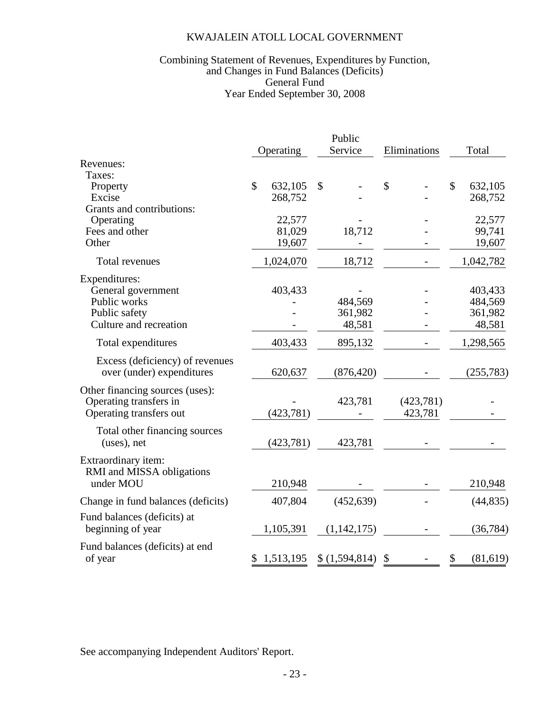### Year Ended September 30, 2008 Combining Statement of Revenues, Expenditures by Function, and Changes in Fund Balances (Deficits) General Fund

|                                              | Operating               |        | Public<br>Service | Eliminations  | Total                   |
|----------------------------------------------|-------------------------|--------|-------------------|---------------|-------------------------|
| Revenues:                                    |                         |        |                   |               |                         |
| Taxes:                                       |                         |        |                   |               |                         |
| Property                                     | $\mathbb{S}$<br>632,105 |        | $\mathcal{S}$     | $\mathcal{S}$ | $\mathbb{S}$<br>632,105 |
| Excise                                       | 268,752                 |        |                   |               | 268,752                 |
| Grants and contributions:<br>Operating       |                         | 22,577 |                   |               | 22,577                  |
| Fees and other                               |                         | 81,029 | 18,712            |               | 99,741                  |
| Other                                        |                         | 19,607 |                   |               | 19,607                  |
|                                              |                         |        |                   |               |                         |
| Total revenues                               | 1,024,070               |        | 18,712            |               | 1,042,782               |
| Expenditures:                                |                         |        |                   |               |                         |
| General government                           | 403,433                 |        |                   |               | 403,433                 |
| Public works                                 |                         |        | 484,569           |               | 484,569                 |
| Public safety                                |                         |        | 361,982           |               | 361,982                 |
| Culture and recreation                       |                         |        | 48,581            |               | 48,581                  |
| Total expenditures                           | 403,433                 |        | 895,132           |               | 1,298,565               |
| Excess (deficiency) of revenues              |                         |        |                   |               |                         |
| over (under) expenditures                    | 620,637                 |        | (876, 420)        |               | (255, 783)              |
| Other financing sources (uses):              |                         |        |                   |               |                         |
| Operating transfers in                       |                         |        | 423,781           | (423,781)     |                         |
| Operating transfers out                      | (423,781)               |        |                   | 423,781       |                         |
|                                              |                         |        |                   |               |                         |
| Total other financing sources<br>(uses), net | (423, 781)              |        | 423,781           |               |                         |
|                                              |                         |        |                   |               |                         |
| Extraordinary item:                          |                         |        |                   |               |                         |
| RMI and MISSA obligations                    |                         |        |                   |               |                         |
| under MOU                                    | 210,948                 |        |                   |               | 210,948                 |
| Change in fund balances (deficits)           | 407,804                 |        | (452, 639)        |               | (44, 835)               |
| Fund balances (deficits) at                  |                         |        |                   |               |                         |
| beginning of year                            | 1,105,391               |        | (1,142,175)       |               | (36, 784)               |
| Fund balances (deficits) at end              |                         |        |                   |               |                         |
| of year                                      | 1,513,195<br>\$         |        | \$(1,594,814)     | \$            | (81, 619)<br>\$         |

See accompanying Independent Auditors' Report.